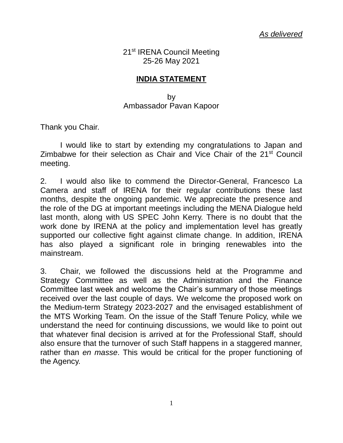21<sup>st</sup> IRENA Council Meeting 25-26 May 2021

## **INDIA STATEMENT**

by Ambassador Pavan Kapoor

Thank you Chair.

I would like to start by extending my congratulations to Japan and Zimbabwe for their selection as Chair and Vice Chair of the 21<sup>st</sup> Council meeting.

2. I would also like to commend the Director-General, Francesco La Camera and staff of IRENA for their regular contributions these last months, despite the ongoing pandemic. We appreciate the presence and the role of the DG at important meetings including the MENA Dialogue held last month, along with US SPEC John Kerry. There is no doubt that the work done by IRENA at the policy and implementation level has greatly supported our collective fight against climate change. In addition, IRENA has also played a significant role in bringing renewables into the mainstream.

3. Chair, we followed the discussions held at the Programme and Strategy Committee as well as the Administration and the Finance Committee last week and welcome the Chair's summary of those meetings received over the last couple of days. We welcome the proposed work on the Medium-term Strategy 2023-2027 and the envisaged establishment of the MTS Working Team. On the issue of the Staff Tenure Policy, while we understand the need for continuing discussions, we would like to point out that whatever final decision is arrived at for the Professional Staff, should also ensure that the turnover of such Staff happens in a staggered manner, rather than *en masse*. This would be critical for the proper functioning of the Agency.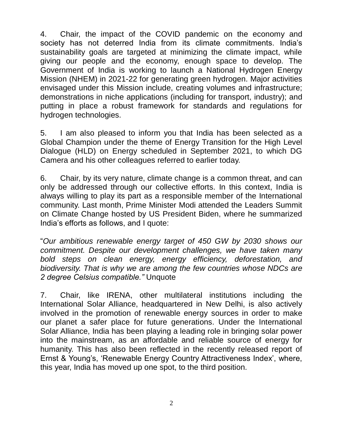4. Chair, the impact of the COVID pandemic on the economy and society has not deterred India from its climate commitments. India's sustainability goals are targeted at minimizing the climate impact, while giving our people and the economy, enough space to develop. The Government of India is working to launch a National Hydrogen Energy Mission (NHEM) in 2021-22 for generating green hydrogen. Major activities envisaged under this Mission include, creating volumes and infrastructure; demonstrations in niche applications (including for transport, industry); and putting in place a robust framework for standards and regulations for hydrogen technologies.

5. I am also pleased to inform you that India has been selected as a Global Champion under the theme of Energy Transition for the High Level Dialogue (HLD) on Energy scheduled in September 2021, to which DG Camera and his other colleagues referred to earlier today.

6. Chair, by its very nature, climate change is a common threat, and can only be addressed through our collective efforts. In this context, India is always willing to play its part as a responsible member of the International community. Last month, Prime Minister Modi attended the Leaders Summit on Climate Change hosted by US President Biden, where he summarized India's efforts as follows, and I quote:

"*Our ambitious renewable energy target of 450 GW by 2030 shows our commitment. Despite our development challenges, we have taken many bold steps on clean energy, energy efficiency, deforestation, and biodiversity. That is why we are among the few countries whose NDCs are 2 degree Celsius compatible."* Unquote

7. Chair, like IRENA, other multilateral institutions including the International Solar Alliance, headquartered in New Delhi, is also actively involved in the promotion of renewable energy sources in order to make our planet a safer place for future generations. Under the International Solar Alliance, India has been playing a leading role in bringing solar power into the mainstream, as an affordable and reliable source of energy for humanity. This has also been reflected in the recently released report of Ernst & Young's, 'Renewable Energy Country Attractiveness Index', where, this year, India has moved up one spot, to the third position.